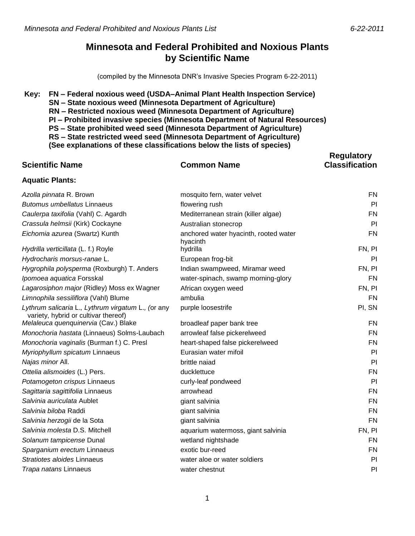**Regulatory** 

## **Minnesota and Federal Prohibited and Noxious Plants by Scientific Name**

(compiled by the Minnesota DNR's Invasive Species Program 6-22-2011)

#### **Key: FN – Federal noxious weed (USDA–Animal Plant Health Inspection Service)**

- **SN – State noxious weed (Minnesota Department of Agriculture)**
- **RN – Restricted noxious weed (Minnesota Department of Agriculture)**
- **PI – Prohibited invasive species (Minnesota Department of Natural Resources)**
- **PS – State prohibited weed seed (Minnesota Department of Agriculture)**
- **RS – State restricted weed seed (Minnesota Department of Agriculture)**

**(See explanations of these classifications below the lists of species)**

| <b>Scientific Name</b>                                                                     | <b>Common Name</b>                                | <b>Classification</b> |
|--------------------------------------------------------------------------------------------|---------------------------------------------------|-----------------------|
| <b>Aquatic Plants:</b>                                                                     |                                                   |                       |
| Azolla pinnata R. Brown                                                                    | mosquito fern, water velvet                       | <b>FN</b>             |
| <b>Butomus umbellatus Linnaeus</b>                                                         | flowering rush                                    | PI                    |
| Caulerpa taxifolia (Vahl) C. Agardh                                                        | Mediterranean strain (killer algae)               | FN                    |
| Crassula helmsii (Kirk) Cockayne                                                           | Australian stonecrop                              | PI                    |
| Eichomia azurea (Swartz) Kunth                                                             | anchored water hyacinth, rooted water<br>hyacinth | <b>FN</b>             |
| Hydrilla verticillata (L. f.) Royle                                                        | hydrilla                                          | FN, PI                |
| Hydrocharis morsus-ranae L.                                                                | European frog-bit                                 | PI                    |
| Hygrophila polysperma (Roxburgh) T. Anders                                                 | Indian swampweed, Miramar weed                    | FN, PI                |
| Ipomoea aquatica Forsskal                                                                  | water-spinach, swamp morning-glory                | FN                    |
| Lagarosiphon major (Ridley) Moss ex Wagner                                                 | African oxygen weed                               | FN, PI                |
| Limnophila sessiliflora (Vahl) Blume                                                       | ambulia                                           | <b>FN</b>             |
| Lythrum salicaria L., Lythrum virgatum L., (or any<br>variety, hybrid or cultivar thereof) | purple loosestrife                                | PI, SN                |
| Melaleuca quenquinervia (Cav.) Blake                                                       | broadleaf paper bank tree                         | <b>FN</b>             |
| Monochoria hastata (Linnaeus) Solms-Laubach                                                | arrowleaf false pickerelweed                      | <b>FN</b>             |
| Monochoria vaginalis (Burman f.) C. Presl                                                  | heart-shaped false pickerelweed                   | FN                    |
| Myriophyllum spicatum Linnaeus                                                             | Eurasian water mifoil                             | PI                    |
| Najas minor All.                                                                           | brittle naiad                                     | PI                    |
| Ottelia alismoides (L.) Pers.                                                              | ducklettuce                                       | FN                    |
| Potamogeton crispus Linnaeus                                                               | curly-leaf pondweed                               | PI                    |
| Sagittaria sagittifolia Linnaeus                                                           | arrowhead                                         | FN                    |
| Salvinia auriculata Aublet                                                                 | giant salvinia                                    | FN                    |
| Salvinia biloba Raddi                                                                      | giant salvinia                                    | <b>FN</b>             |
| Salvinia herzogii de la Sota                                                               | giant salvinia                                    | <b>FN</b>             |
| Salvinia molesta D.S. Mitchell                                                             | aquarium watermoss, giant salvinia                | FN, PI                |
| Solanum tampicense Dunal                                                                   | wetland nightshade                                | <b>FN</b>             |
| Sparganium erectum Linnaeus                                                                | exotic bur-reed                                   | FN                    |
| Stratiotes aloides Linnaeus                                                                | water aloe or water soldiers                      | PI                    |
| Trapa natans Linnaeus                                                                      | water chestnut                                    | PI                    |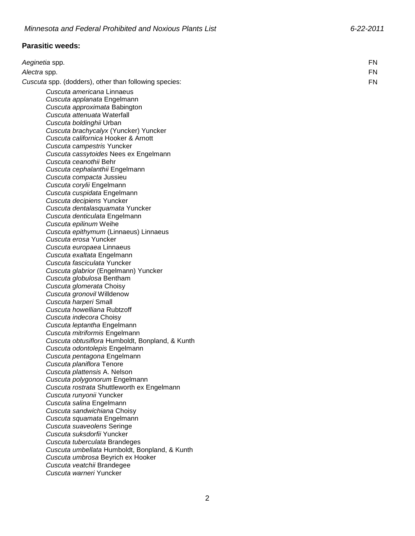# **Parasitic weeds:**

| Aeginetia spp.                                                    | <b>FN</b> |
|-------------------------------------------------------------------|-----------|
| Alectra spp.                                                      | <b>FN</b> |
| Cuscuta spp. (dodders), other than following species:             | <b>FN</b> |
| Cuscuta americana Linnaeus                                        |           |
| Cuscuta applanata Engelmann                                       |           |
| Cuscuta approximata Babington                                     |           |
| Cuscuta attenuata Waterfall                                       |           |
| Cuscuta boldinghii Urban                                          |           |
| Cuscuta brachycalyx (Yuncker) Yuncker                             |           |
| Cuscuta californica Hooker & Arnott                               |           |
| Cuscuta campestris Yuncker                                        |           |
| Cuscuta cassytoides Nees ex Engelmann                             |           |
| Cuscuta ceanothii Behr                                            |           |
| Cuscuta cephalanthii Engelmann                                    |           |
| Cuscuta compacta Jussieu                                          |           |
| Cuscuta corylii Engelmann                                         |           |
| Cuscuta cuspidata Engelmann                                       |           |
| Cuscuta decipiens Yuncker                                         |           |
| Cuscuta dentalasquamata Yuncker                                   |           |
| Cuscuta denticulata Engelmann                                     |           |
| Cuscuta epilinum Weihe                                            |           |
| Cuscuta epithymum (Linnaeus) Linnaeus<br>Cuscuta erosa Yuncker    |           |
|                                                                   |           |
| Cuscuta europaea Linnaeus                                         |           |
| Cuscuta exaltata Engelmann<br>Cuscuta fasciculata Yuncker         |           |
|                                                                   |           |
| Cuscuta glabrior (Engelmann) Yuncker<br>Cuscuta globulosa Bentham |           |
| Cuscuta glomerata Choisy                                          |           |
| Cuscuta gronovil Willdenow                                        |           |
| Cuscuta harperi Small                                             |           |
| Cuscuta howelliana Rubtzoff                                       |           |
| Cuscuta indecora Choisy                                           |           |
| Cuscuta leptantha Engelmann                                       |           |
| Cuscuta mitriformis Engelmann                                     |           |
| Cuscuta obtusiflora Humboldt, Bonpland, & Kunth                   |           |
| Cuscuta odontolepis Engelmann                                     |           |
| Cuscuta pentagona Engelmann                                       |           |
| Cuscuta planiflora Tenore                                         |           |
| Cuscuta plattensis A. Nelson                                      |           |
| Cuscuta polygonorum Engelmann                                     |           |
| Cuscuta rostrata Shuttleworth ex Engelmann                        |           |
| Cuscuta runyonii Yuncker                                          |           |
| Cuscuta salina Engelmann                                          |           |
| Cuscuta sandwichiana Choisy                                       |           |
| Cuscuta squamata Engelmann                                        |           |
| Cuscuta suaveolens Seringe                                        |           |
| Cuscuta suksdorfii Yuncker                                        |           |
| Cuscuta tuberculata Brandeges                                     |           |
| Cuscuta umbellata Humboldt, Bonpland, & Kunth                     |           |
| Cuscuta umbrosa Beyrich ex Hooker                                 |           |
| Cuscuta veatchii Brandegee<br>Cuscuta warneri Yuncker             |           |
|                                                                   |           |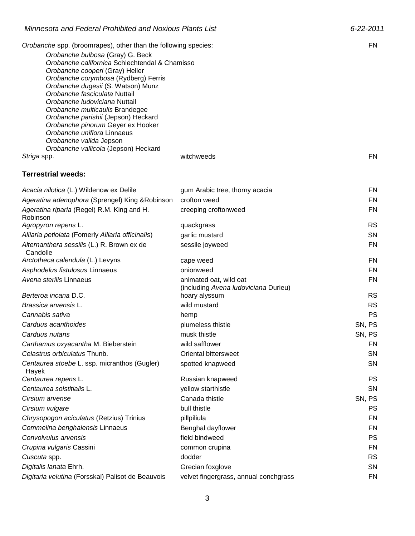| Orobanche spp. (broomrapes), other than the following species:      |                                                       | FN                     |
|---------------------------------------------------------------------|-------------------------------------------------------|------------------------|
| Orobanche bulbosa (Gray) G. Beck                                    |                                                       |                        |
| Orobanche californica Schlechtendal & Chamisso                      |                                                       |                        |
| Orobanche cooperi (Gray) Heller                                     |                                                       |                        |
| Orobanche corymbosa (Rydberg) Ferris                                |                                                       |                        |
| Orobanche dugesii (S. Watson) Munz<br>Orobanche fasciculata Nuttail |                                                       |                        |
| Orobanche Iudoviciana Nuttail                                       |                                                       |                        |
| Orobanche multicaulis Brandegee                                     |                                                       |                        |
| Orobanche parishii (Jepson) Heckard                                 |                                                       |                        |
| Orobanche pinorum Geyer ex Hooker                                   |                                                       |                        |
| Orobanche uniflora Linnaeus<br>Orobanche valida Jepson              |                                                       |                        |
| Orobanche vallicola (Jepson) Heckard                                |                                                       |                        |
| Striga spp.                                                         | witchweeds                                            | FN                     |
| <b>Terrestrial weeds:</b>                                           |                                                       |                        |
| Acacia nilotica (L.) Wildenow ex Delile                             | gum Arabic tree, thorny acacia                        | FN                     |
| Ageratina adenophora (Sprengel) King & Robinson                     | crofton weed                                          | FN                     |
| Ageratina riparia (Regel) R.M. King and H.                          | creeping croftonweed                                  | <b>FN</b>              |
| Robinson                                                            |                                                       |                        |
| Agropyron repens L.                                                 | quackgrass                                            | <b>RS</b>              |
| Alliaria petiolata (Fomerly Alliaria officinalis)                   | garlic mustard                                        | <b>SN</b>              |
| Alternanthera sessilis (L.) R. Brown ex de<br>Candolle              | sessile joyweed                                       | <b>FN</b>              |
| Arctotheca calendula (L.) Levyns                                    | cape weed                                             | FN                     |
| Asphodelus fistulosus Linnaeus                                      | onionweed                                             | FN                     |
| Avena sterilis Linnaeus                                             | animated oat, wild oat                                | <b>FN</b>              |
| Berteroa incana D.C.                                                | (including Avena Iudoviciana Durieu)<br>hoary alyssum | <b>RS</b>              |
| Brassica arvensis L.                                                | wild mustard                                          | <b>RS</b>              |
| Cannabis sativa                                                     | hemp                                                  | <b>PS</b>              |
| Carduus acanthoides                                                 | plumeless thistle                                     | SN, PS                 |
| Carduus nutans                                                      | musk thistle                                          | SN, PS                 |
| Carthamus oxyacantha M. Bieberstein                                 | wild safflower                                        | <b>FN</b>              |
| Celastrus orbiculatus Thunb.                                        | Oriental bittersweet                                  | <b>SN</b>              |
| Centaurea stoebe L. ssp. micranthos (Gugler)                        | spotted knapweed                                      | SN                     |
| Hayek                                                               |                                                       | <b>PS</b>              |
| Centaurea repens L.<br>Centaurea solstitialis L.                    | Russian knapweed                                      |                        |
|                                                                     | yellow starthistle<br>Canada thistle                  | <b>SN</b><br>SN, PS    |
| Cirsium arvense<br>Cirsium vulgare                                  | bull thistle                                          |                        |
|                                                                     |                                                       | <b>PS</b><br><b>FN</b> |
| Chrysopogon aciculatus (Retzius) Trinius                            | pillpiliula                                           |                        |
| Commelina benghalensis Linnaeus<br>Convolvulus arvensis             | Benghal dayflower                                     | FN                     |
|                                                                     | field bindweed                                        | <b>PS</b><br>FN        |
| Crupina vulgaris Cassini                                            | common crupina                                        | <b>RS</b>              |
| Cuscuta spp.<br>$D_{i}$ $i$ $i$ $j$ $k$ $k$ $j$ $k$ $k$ $k$ $k$ $k$ | dodder<br>وماسيومة مرمثم                              | <b>ONI</b>             |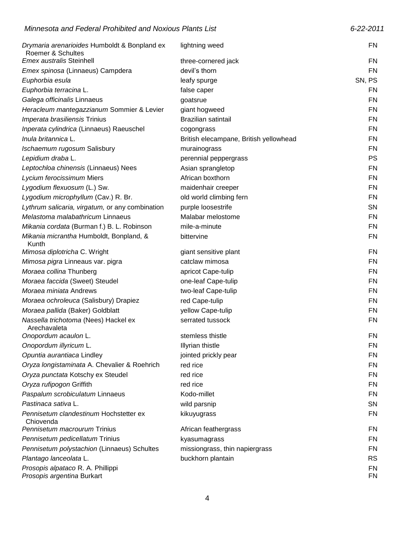| Drymaria arenarioides Humboldt & Bonpland ex<br>Roemer & Schultes | lightning weed                         | FN        |
|-------------------------------------------------------------------|----------------------------------------|-----------|
| <b>Emex australis Steinhell</b>                                   | three-cornered jack                    | FN        |
| Emex spinosa (Linnaeus) Campdera                                  | devil's thorn                          | <b>FN</b> |
| Euphorbia esula                                                   | leafy spurge                           | SN, PS    |
| Euphorbia terracina L.                                            | false caper                            | <b>FN</b> |
| Galega officinalis Linnaeus                                       | goatsrue                               | FN        |
| Heracleum mantegazzianum Sommier & Levier                         | giant hogweed                          | FN        |
| Imperata brasiliensis Trinius                                     | <b>Brazilian satintail</b>             | FN        |
| Inperata cylindrica (Linnaeus) Raeuschel                          | cogongrass                             | FN        |
| Inula britannica L.                                               | British elecampane, British yellowhead | <b>FN</b> |
| Ischaemum rugosum Salisbury                                       | murainograss                           | FN        |
| Lepidium draba L.                                                 | perennial peppergrass                  | <b>PS</b> |
| Leptochloa chinensis (Linnaeus) Nees                              | Asian sprangletop                      | FN        |
| Lycium ferocissimum Miers                                         | African boxthorn                       | FN        |
| Lygodium flexuosum (L.) Sw.                                       | maidenhair creeper                     | <b>FN</b> |
| Lygodium microphyllum (Cav.) R. Br.                               | old world climbing fern                | FN        |
| Lythrum salicaria, virgatum, or any combination                   | purple loosestrife                     | <b>SN</b> |
| Melastoma malabathricum Linnaeus                                  | Malabar melostome                      | FN        |
| Mikania cordata (Burman f.) B. L. Robinson                        | mile-a-minute                          | FN        |
| Mikania micrantha Humboldt, Bonpland, &<br>Kunth                  | bittervine                             | <b>FN</b> |
| Mimosa diplotricha C. Wright                                      | giant sensitive plant                  | FN        |
| Mimosa pigra Linneaus var. pigra                                  | catclaw mimosa                         | FN        |
| Moraea collina Thunberg                                           | apricot Cape-tulip                     | FN        |
| Moraea faccida (Sweet) Steudel                                    | one-leaf Cape-tulip                    | <b>FN</b> |
| Moraea miniata Andrews                                            | two-leaf Cape-tulip                    | <b>FN</b> |
| Moraea ochroleuca (Salisbury) Drapiez                             | red Cape-tulip                         | <b>FN</b> |
| Moraea pallida (Baker) Goldblatt                                  | yellow Cape-tulip                      | <b>FN</b> |
| Nassella trichotoma (Nees) Hackel ex<br>Arechavaleta              | serrated tussock                       | <b>FN</b> |
| Onopordum acaulon L.                                              | stemless thistle                       | FN        |
| Onopordum illyricum L.                                            | Illyrian thistle                       | <b>FN</b> |
| Opuntia aurantiaca Lindley                                        | jointed prickly pear                   | FN        |
| Oryza longistaminata A. Chevalier & Roehrich                      | red rice                               | FN        |
| Oryza punctata Kotschy ex Steudel                                 | red rice                               | FN        |
| Oryza rufipogon Griffith                                          | red rice                               | FN        |
| Paspalum scrobiculatum Linnaeus                                   | Kodo-millet                            | <b>FN</b> |
| Pastinaca sativa L.                                               | wild parsnip                           | <b>SN</b> |
| Pennisetum clandestinum Hochstetter ex<br>Chiovenda               | kikuyugrass                            | FN        |
| Pennisetum macrourum Trinius                                      | African feathergrass                   | FN        |
| Pennisetum pedicellatum Trinius                                   | kyasumagrass                           | FN        |
| Pennisetum polystachion (Linnaeus) Schultes                       | missiongrass, thin napiergrass         | FN        |
| Plantago lanceolata L.                                            | buckhorn plantain                      | <b>RS</b> |
| Prosopis alpataco R. A. Phillippi<br>Prosopis argentina Burkart   |                                        | FN<br>FN  |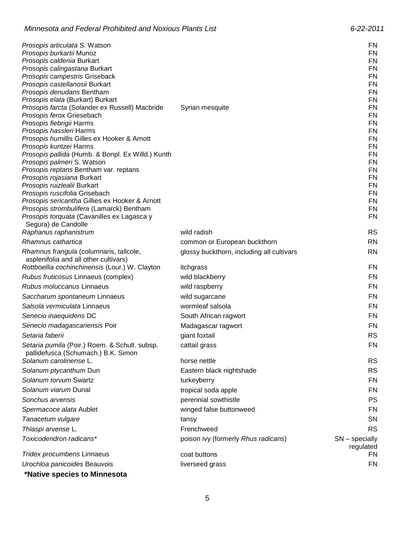| <i>Prosopis articulata S. Watson</i>                                             |                                           | FN                            |
|----------------------------------------------------------------------------------|-------------------------------------------|-------------------------------|
| Prosopis burkartii Munoz                                                         |                                           | <b>FN</b>                     |
| Prosopis caldenia Burkart                                                        |                                           | <b>FN</b>                     |
| Prosopis calingastana Burkart                                                    |                                           | FN                            |
| Prosopis campestris Griseback                                                    |                                           | <b>FN</b>                     |
| Prosopis castellanosii Burkart                                                   |                                           | <b>FN</b>                     |
| Prosopis denudans Bentham                                                        |                                           | <b>FN</b>                     |
| Prosopis elata (Burkart) Burkart                                                 |                                           | <b>FN</b>                     |
| Prosopis farcta (Solander ex Russell) Macbride                                   | Syrian mesquite                           | <b>FN</b>                     |
| Prosopis ferox Griesebach<br>Prosopis fiebrigii Harms                            |                                           | FN<br><b>FN</b>               |
| Prosopis hassleri Harms                                                          |                                           | <b>FN</b>                     |
| Prosopis humillis Gilles ex Hooker & Arnott                                      |                                           | <b>FN</b>                     |
| Prosopis kuntzei Harms                                                           |                                           | FN                            |
| Prosopis pallida (Humb. & Bonpl. Ex Willd.) Kunth                                |                                           | <b>FN</b>                     |
| Prosopis palmeri S. Watson                                                       |                                           | FN                            |
| Prosopis reptans Bentham var. reptans                                            |                                           | <b>FN</b>                     |
| Prosopis rojasiana Burkart                                                       |                                           | FN                            |
| Prosopis ruizlealii Burkart                                                      |                                           | <b>FN</b>                     |
| Prosopis ruscifolia Grisebach                                                    |                                           | <b>FN</b>                     |
| Prosopis sericantha Gillies ex Hooker & Arnott                                   |                                           | <b>FN</b>                     |
| Prosopis strombulifera (Lamarck) Bentham                                         |                                           | FN                            |
| Prosopis torquata (Cavanilles ex Lagasca y                                       |                                           | <b>FN</b>                     |
| Segura) de Candolle<br>Raphanus raphanistrum                                     | wild radish                               | <b>RS</b>                     |
| Rhamnus cathartica                                                               | common or European buckthorn              | <b>RN</b>                     |
|                                                                                  |                                           | <b>RN</b>                     |
| Rhamnus frangula (columnaris, tallcole,<br>asplenifolia and all other cultivars) | glossy buckthorn, including all cultivars |                               |
| Rottboellia cochinchinensis (Lour.) W. Clayton                                   | itchgrass                                 | FN                            |
| Rubus fruticosus Linnaeus (complex)                                              | wild blackberry                           | FN                            |
| Rubus moluccanus Linnaeus                                                        |                                           | <b>FN</b>                     |
|                                                                                  | wild raspberry                            |                               |
| Saccharum spontaneum Linnaeus                                                    | wild sugarcane                            | <b>FN</b>                     |
| Salsola vermiculata Linnaeus                                                     | wormleaf salsola                          | FN                            |
| Senecio inaequidens DC                                                           | South African ragwort                     | <b>FN</b>                     |
| Senecio madagascariensis Poir                                                    | Madagascar ragwort                        | <b>FN</b>                     |
| Setaria faberii                                                                  | giant foxtail                             | <b>RS</b>                     |
| Setaria pumila (Poir.) Roem. & Schult. subsp.                                    | cattail grass                             | <b>FN</b>                     |
| pallidefusca (Schumach.) B.K. Simon                                              |                                           |                               |
| Solanum carolinense L.                                                           | horse nettle                              | <b>RS</b>                     |
| Solanum ptycanthum Dun                                                           | Eastern black nightshade                  | <b>RS</b>                     |
| Solanum torvum Swartz                                                            | turkeyberry                               | FN                            |
| Solanum viarum Dunal                                                             | tropical soda apple                       | <b>FN</b>                     |
| Sonchus arvensis                                                                 | perennial sowthistle                      | <b>PS</b>                     |
| Spermacoce alata Aublet                                                          | winged false buttonweed                   | FN                            |
| Tanacetum vulgare                                                                | tansy                                     | SN                            |
| Thlaspi arvense L.                                                               | Frenchweed                                | <b>RS</b>                     |
|                                                                                  |                                           |                               |
| Toxicodendron radicans*                                                          | poison ivy (formerly Rhus radicans)       | $SN$ – specially<br>regulated |
| Tridex procumbens Linnaeus                                                       | coat buttons                              | FN.                           |
| Urochloa panicoides Beauvois                                                     | liverseed grass                           | FN                            |
|                                                                                  |                                           |                               |

**\*Native species to Minnesota**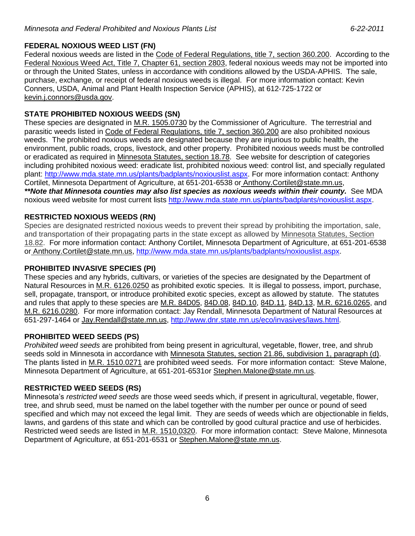### **FEDERAL NOXIOUS WEED LIST (FN)**

Federal noxious weeds are listed in the Code of Federal Regulations, title 7, section 360.200. According to the Federal Noxious Weed Act, Title 7, Chapter 61, section 2803, federal noxious weeds may not be imported into or through the United States, unless in accordance with conditions allowed by the USDA-APHIS. The sale, purchase, exchange, or receipt of federal noxious weeds is illegal. For more information contact: Kevin Conners, USDA, Animal and Plant Health Inspection Service (APHIS), at 612-725-1722 or [kevin.j.connors@usda.gov.](mailto:kevin.j.connors@usda.gov)

### **STATE PROHIBITED NOXIOUS WEEDS (SN)**

These species are designated in M.R. 1505.0730 by the Commissioner of Agriculture. The terrestrial and parasitic weeds listed in Code of Federal Regulations, title 7, section 360.200 are also prohibited noxious weeds. The prohibited noxious weeds are designated because they are injurious to public health, the environment, public roads, crops, livestock, and other property. Prohibited noxious weeds must be controlled or eradicated as required in Minnesota Statutes, section 18.78. See website for description of categories including prohibited noxious weed: eradicate list, prohibited noxious weed: control list, and specially regulated plant: [http://www.mda.state.mn.us/plants/badplants/noxiouslist.aspx.](http://www.mda.state.mn.us/plants/badplants/noxiouslist.aspx) For more information contact: Anthony Cortilet, Minnesota Department of Agriculture, at 651-201-6538 or [Anthony.Cortilet@state.mn.us,](mailto:Anthony.Cortilet@state.mn.us) *\*\*Note that Minnesota counties may also list species as noxious weeds within their county.* See MDA noxious weed website for most current lists [http://www.mda.state.mn.us/plants/badplants/noxiouslist.aspx.](http://www.mda.state.mn.us/plants/badplants/noxiouslist.aspx)

### **RESTRICTED NOXIOUS WEEDS (RN)**

Species are designated restricted noxious weeds to prevent their spread by prohibiting the importation, sale, and transportation of their propagating parts in the state except as allowed by Minnesota Statutes, Section 18.82. For more information contact: Anthony Cortilet, Minnesota Department of Agriculture, at 651-201-6538 or [Anthony.Cortilet@state.mn.us,](mailto:Anthony.Cortilet@state.mn.us) [http://www.mda.state.mn.us/plants/badplants/noxiouslist.aspx.](http://www.mda.state.mn.us/plants/badplants/noxiouslist.aspx)

### **PROHIBITED INVASIVE SPECIES (PI)**

These species and any hybrids, cultivars, or varieties of the species are designated by the Department of Natural Resources in M.R. 6126.0250 as prohibited exotic species. It is illegal to possess, import, purchase, sell, propagate, transport, or introduce prohibited exotic species, except as allowed by statute. The statutes and rules that apply to these species are M.R. 84D05, 84D.08, 84D.10, 84D.11, 84D.13, M.R. 6216.0265, and M.R. 6216.0280. For more information contact: Jay Rendall, Minnesota Department of Natural Resources at 651-297-1464 or [Jay.Rendall@state.mn.us,](mailto:Jay.Rendall@state.mn.us) [http://www.dnr.state.mn.us/eco/invasives/laws.html.](http://www.dnr.state.mn.us/eco/invasives/laws.html)

### **PROHIBITED WEED SEEDS (PS)**

*Prohibited weed seeds* are prohibited from being present in agricultural, vegetable, flower, tree, and shrub seeds sold in Minnesota in accordance with Minnesota Statutes, section 21.86, subdivision 1, paragraph (d). The plants listed in M.R. 1510.0271 are prohibited weed seeds. For more information contact: Steve Malone, Minnesota Department of Agriculture, at 651-201-6531or [Stephen.Malone@state.mn.us.](mailto:Stephen.Malone@state.mn.us)

### **RESTRICTED WEED SEEDS (RS)**

Minnesota's *restricted weed seeds* are those weed seeds which, if present in agricultural, vegetable, flower, tree, and shrub seed, must be named on the label together with the number per ounce or pound of seed specified and which may not exceed the legal limit. They are seeds of weeds which are objectionable in fields, lawns, and gardens of this state and which can be controlled by good cultural practice and use of herbicides. Restricted weed seeds are listed in M.R. 1510,0320. For more information contact: Steve Malone, Minnesota Department of Agriculture, at 651-201-6531 or [Stephen.Malone@state.mn.us.](mailto:Stephen.Malone@state.mn.us)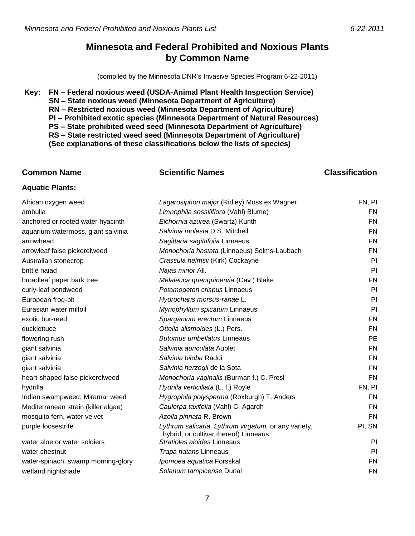## **Minnesota and Federal Prohibited and Noxious Plants by Common Name**

(compiled by the Minnesota DNR's Invasive Species Program 6-22-2011)

#### **Key: FN – Federal noxious weed (USDA-Animal Plant Health Inspection Service) SN – State noxious weed (Minnesota Department of Agriculture) RN – Restricted noxious weed (Minnesota Department of Agriculture) PI – Prohibited exotic species (Minnesota Department of Natural Resources) PS – State prohibited weed seed (Minnesota Department of Agriculture) RS – State restricted weed seed (Minnesota Department of Agriculture) (See explanations of these classifications below the lists of species)**

### **Common Name Scientific Names Classification Aquatic Plants:** African oxygen weed *Lagarosiphon major* (Ridley) Moss ex Wagner FN, PI ambulia *Limnophila sessiliflora* (Vahl) Blume) FN anchored or rooted water hyacinth *Eichornia azurea* (Swartz) Kunth FN aquarium watermoss, giant salvinia *Salvinia molesta* D.S. Mitchell FN arrowhead *Sagittaria sagittifolia* Linnaeus FN arrowleaf false pickerelweed *Monochoria hastata* (Linnaeus) Solms-Laubach FN Australian stonecrop *Crassula helmsii* (Kirk) Cockayne PI brittle naiad *Najas minor* All. PI broadleaf paper bark tree *Melaleuca quenquinervia* (Cav.) Blake FN curly-leaf pondweed *Potamogeton crispus* Linnaeus PI European frog-bit *Hydrocharis morsus-ranae* L. PI Eurasian water milfoil *Myriophyllum spicatum* Linnaeus PI exotic bur-reed *Sparganium erectum* Linnaeus FN ducklettuce *Ottelia alismoides* (L.) Pers. FN flowering rush *Butomus umbellatus* Linneaus PE giant salvinia *Salvinia auriculata* Aublet FN giant salvinia *Salvinia biloba* Raddi FN giant salvinia *Salvinia herzogii* de la Sota FN heart-shaped false pickerelweed *Monochoria vaginalis* (Burman f.) C. Presl FN hydrilla **FRICHT CONTACT CONTACT CONTACT HYDRIGHT HYDRIGHT HYDRIGHT HYDRIGHT HYDRIGHT FN, PI** Indian swampweed, Miramar weed *Hygrophila polysperma* (Roxburgh) T. Anders FN Mediterranean strain (killer algae) *Caulerpa taxifolia* (Vahl) C. Agardh FN mosquito fern, water velvet *Azolla pinnata* R. Brown FN purple loosestrife *Lythrum salicaria, Lythrum virgatum,* or any variety, hybrid, or cultivar thereof) Linneaus PI, SN water aloe or water soldiers *Stratioles aloides* Linneaus PI water chestnut *Trapa natans* Linneaus PI water-spinach, swamp morning-glory *Ipomoea aquatica* Forsskal **Interpreteration and FIN** FN wetland nightshade *Solanum tampicense* Dunal FN

7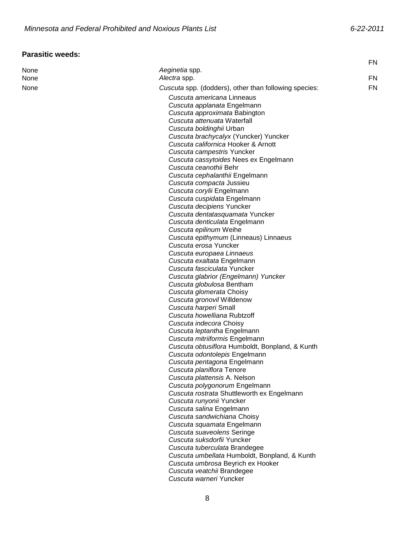## **Parasitic weeds:**

|      |                                                       | <b>FN</b> |
|------|-------------------------------------------------------|-----------|
| None | Aeginetia spp.                                        |           |
| None | Alectra spp.                                          | FN.       |
| None | Cuscuta spp. (dodders), other than following species: | FN        |
|      | Cuscuta americana Linneaus                            |           |
|      | Cuscuta applanata Engelmann                           |           |
|      | Cuscuta approximata Babington                         |           |
|      | Cuscuta attenuata Waterfall                           |           |
|      | Cuscuta boldinghii Urban                              |           |
|      | Cuscuta brachycalyx (Yuncker) Yuncker                 |           |
|      | Cuscuta californica Hooker & Arnott                   |           |
|      | Cuscuta campestris Yuncker                            |           |
|      | Cuscuta cassytoides Nees ex Engelmann                 |           |
|      | Cuscuta ceanothii Behr                                |           |
|      | Cuscuta cephalanthii Engelmann                        |           |
|      | Cuscuta compacta Jussieu                              |           |
|      | Cuscuta corylii Engelmann                             |           |
|      | Cuscuta cuspidata Engelmann                           |           |
|      | Cuscuta decipiens Yuncker                             |           |
|      | Cuscuta dentatasquamata Yuncker                       |           |
|      | Cuscuta denticulata Engelmann                         |           |
|      | Cuscuta epilinum Weihe                                |           |
|      | Cuscuta epithymum (Linneaus) Linnaeus                 |           |
|      | Cuscuta erosa Yuncker                                 |           |
|      | Cuscuta europaea Linnaeus                             |           |
|      | Cuscuta exaltata Engelmann                            |           |
|      | Cuscuta fasciculata Yuncker                           |           |
|      | Cuscuta glabrior (Engelmann) Yuncker                  |           |
|      | Cuscuta globulosa Bentham                             |           |
|      | Cuscuta glomerata Choisy                              |           |
|      | Cuscuta gronovil Willdenow                            |           |
|      | Cuscuta harperi Small                                 |           |
|      | Cuscuta howelliana Rubtzoff                           |           |
|      | Cuscuta indecora Choisy                               |           |
|      | Cuscuta leptantha Engelmann                           |           |
|      | Cuscuta mitriiformis Engelmann                        |           |
|      | Cuscuta obtusiflora Humboldt, Bonpland, & Kunth       |           |
|      | Cuscuta odontolepis Engelmann                         |           |
|      | Cuscuta pentagona Engelmann                           |           |
|      | Cuscuta planiflora Tenore                             |           |
|      | Cuscuta plattensis A. Nelson                          |           |
|      | Cuscuta polygonorum Engelmann                         |           |
|      | Cuscuta rostrata Shuttleworth ex Engelmann            |           |
|      | Cuscuta runyonii Yuncker                              |           |
|      | Cuscuta salina Engelmann                              |           |
|      | Cuscuta sandwichiana Choisy                           |           |
|      | Cuscuta squamata Engelmann                            |           |
|      | Cuscuta suaveolens Seringe                            |           |
|      | Cuscuta suksdorfii Yuncker                            |           |
|      | Cuscuta tuberculata Brandegee                         |           |
|      | Cuscuta umbellata Humboldt, Bonpland, & Kunth         |           |
|      | Cuscuta umbrosa Beyrich ex Hooker                     |           |
|      | Cuscuta veatchii Brandegee<br>Cuscuta warneri Yuncker |           |
|      |                                                       |           |
|      |                                                       |           |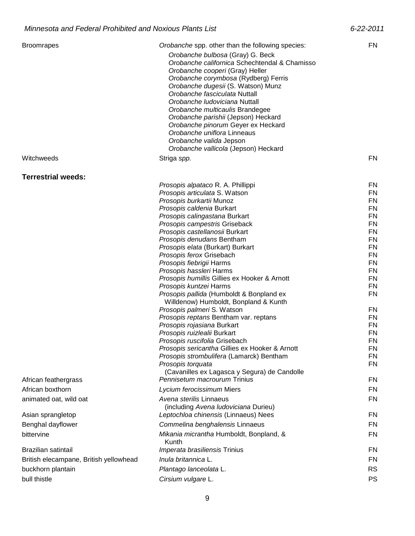| <b>Broomrapes</b>                      | Orobanche spp. other than the following species:<br>Orobanche bulbosa (Gray) G. Beck       | FN              |
|----------------------------------------|--------------------------------------------------------------------------------------------|-----------------|
|                                        | Orobanche californica Schechtendal & Chamisso                                              |                 |
|                                        | Orobanche cooperi (Gray) Heller                                                            |                 |
|                                        | Orobanche corymbosa (Rydberg) Ferris                                                       |                 |
|                                        | Orobanche dugesii (S. Watson) Munz                                                         |                 |
|                                        | Orobanche fasciculata Nuttall                                                              |                 |
|                                        | Orobanche Iudoviciana Nuttall                                                              |                 |
|                                        | Orobanche multicaulis Brandegee                                                            |                 |
|                                        | Orobanche parishii (Jepson) Heckard<br>Orobanche pinorum Geyer ex Heckard                  |                 |
|                                        | Orobanche uniflora Linneaus                                                                |                 |
|                                        | Orobanche valida Jepson                                                                    |                 |
|                                        | Orobanche vallicola (Jepson) Heckard                                                       |                 |
| Witchweeds                             | Striga spp.                                                                                | <b>FN</b>       |
| <b>Terrestrial weeds:</b>              |                                                                                            |                 |
|                                        | Prosopis alpataco R. A. Phillippi                                                          | FN              |
|                                        | Prosopis articulata S. Watson                                                              | FN              |
|                                        | Prosopis burkartii Munoz                                                                   | FN              |
|                                        | Prosopis caldenia Burkart                                                                  | FN              |
|                                        | Prosopis calingastana Burkart<br>Prosopis campestris Griseback                             | FN<br>FN        |
|                                        | Prosopis castellanosii Burkart                                                             | <b>FN</b>       |
|                                        | Prosopis denudans Bentham                                                                  | FN              |
|                                        | Prosopis elata (Burkart) Burkart                                                           | FN              |
|                                        | Prosopis ferox Grisebach                                                                   | FN              |
|                                        | Prosopis fiebrigii Harms                                                                   | FN              |
|                                        | Prosopis hassleri Harms                                                                    | FN              |
|                                        | Prosopis humillis Gillies ex Hooker & Arnott<br>Prosopis kuntzei Harms                     | FN<br>FN        |
|                                        | Prosopis pallida (Humboldt & Bonpland ex                                                   | FN              |
|                                        | Willdenow) Humboldt, Bonpland & Kunth                                                      |                 |
|                                        | Prosopis palmeri S. Watson                                                                 | FN              |
|                                        | Prosopis reptans Bentham var. reptans                                                      | FN              |
|                                        | Prosopis rojasiana Burkart                                                                 | FN              |
|                                        | Prosopis ruizlealii Burkart                                                                | <b>FN</b>       |
|                                        | Prosopis ruscifolia Grisebach                                                              | FN<br><b>FN</b> |
|                                        | Prosopis sericantha Gillies ex Hooker & Arnott<br>Prosopis strombulifera (Lamarck) Bentham | FN              |
|                                        | Prosopis torquata                                                                          | FN              |
|                                        | (Cavanilles ex Lagasca y Segura) de Candolle                                               |                 |
| African feathergrass                   | Pennisetum macrourum Trinius                                                               | <b>FN</b>       |
| African boxthorn                       | Lycium ferocissimum Miers                                                                  | FN              |
| animated oat, wild oat                 | Avena sterilis Linnaeus<br>(including Avena ludoviciana Durieu)                            | FN              |
| Asian sprangletop                      | Leptochloa chinensis (Linnaeus) Nees                                                       | FN              |
| Benghal dayflower                      | Commelina benghalensis Linnaeus                                                            | FN              |
| bittervine                             | Mikania micrantha Humboldt, Bonpland, &<br>Kunth                                           | <b>FN</b>       |
| Brazilian satintail                    | Imperata brasiliensis Trinius                                                              | FN              |
| British elecampane, British yellowhead | Inula britannica L.                                                                        | FN              |
| buckhorn plantain                      | Plantago lanceolata L.                                                                     | <b>RS</b>       |
| bull thistle                           | Cirsium vulgare L.                                                                         | <b>PS</b>       |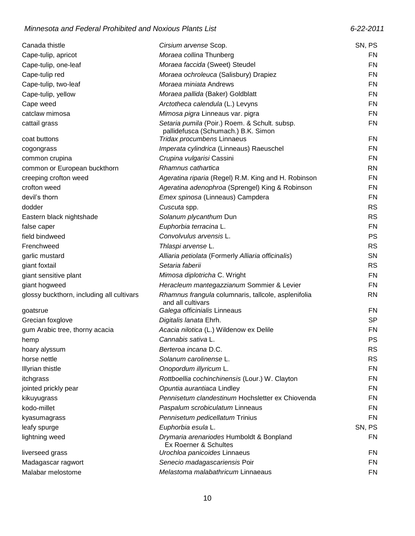### *Minnesota and Federal Prohibited and Noxious Plants List 6-22-2011*

| Canada thistle                            | Cirsium arvense Scop.                                             | SN, PS    |
|-------------------------------------------|-------------------------------------------------------------------|-----------|
| Cape-tulip, apricot                       | Moraea collina Thunberg                                           | <b>FN</b> |
| Cape-tulip, one-leaf                      | Moraea faccida (Sweet) Steudel                                    | <b>FN</b> |
| Cape-tulip red                            | Moraea ochroleuca (Salisbury) Drapiez                             | FN        |
| Cape-tulip, two-leaf                      | Moraea miniata Andrews                                            | FN        |
| Cape-tulip, yellow                        | Moraea pallida (Baker) Goldblatt                                  | FN        |
| Cape weed                                 | Arctotheca calendula (L.) Levyns                                  | FN        |
| catclaw mimosa                            | Mimosa pigra Linneaus var. pigra                                  | FN        |
| cattail grass                             | Setaria pumila (Poir.) Roem. & Schult. subsp.                     | <b>FN</b> |
|                                           | pallidefusca (Schumach.) B.K. Simon                               |           |
| coat buttons                              | Tridax procumbens Linnaeus                                        | FN        |
| cogongrass                                | Imperata cylindrica (Linneaus) Raeuschel                          | <b>FN</b> |
| common crupina                            | Crupina vulgarisi Cassini                                         | FN        |
| common or European buckthorn              | Rhamnus cathartica                                                | <b>RN</b> |
| creeping crofton weed                     | Ageratina riparia (Regel) R.M. King and H. Robinson               | FN        |
| crofton weed                              | Ageratina adenophroa (Sprengel) King & Robinson                   | FN        |
| devil's thorn                             | Emex spinosa (Linneaus) Campdera                                  | <b>FN</b> |
| dodder                                    | Cuscuta spp.                                                      | <b>RS</b> |
| Eastern black nightshade                  | Solanum plycanthum Dun                                            | <b>RS</b> |
| false caper                               | Euphorbia terracina L.                                            | FN        |
| field bindweed                            | Convolvulus arvensis L.                                           | <b>PS</b> |
| Frenchweed                                | Thlaspi arvense L.                                                | <b>RS</b> |
| garlic mustard                            | Alliaria petiolata (Formerly Alliaria officinalis)                | SN        |
| giant foxtail                             | Setaria faberii                                                   | <b>RS</b> |
| giant sensitive plant                     | Mimosa diplotricha C. Wright                                      | FN        |
| giant hogweed                             | Heracleum mantegazzianum Sommier & Levier                         | FN        |
| glossy buckthorn, including all cultivars | Rhamnus frangula columnaris, tallcole, asplenifolia               | <b>RN</b> |
|                                           | and all cultivars                                                 |           |
| goatsrue                                  | Galega officinialis Linneaus                                      | FN        |
| Grecian foxglove                          | Digitalis lanata Ehrh.                                            | <b>SP</b> |
| gum Arabic tree, thorny acacia            | Acacia nilotica (L.) Wildenow ex Delile                           | <b>FN</b> |
| hemp                                      | Cannabis sativa L.                                                | PS        |
| hoary alyssum                             | Berteroa incana D.C.                                              | <b>RS</b> |
| horse nettle                              | Solanum carolinense L.                                            | <b>RS</b> |
| Illyrian thistle                          | Onopordum illyricum L.                                            | FN        |
| itchgrass                                 | Rottboellia cochinchinensis (Lour.) W. Clayton                    | FN        |
| jointed prickly pear                      | Opuntia aurantiaca Lindley                                        | <b>FN</b> |
| kikuyugrass                               | Pennisetum clandestinum Hochsletter ex Chiovenda                  | FN        |
| kodo-millet                               | Paspalum scrobiculatum Linneaus                                   | FN        |
| kyasumagrass                              | Pennisetum pedicellatum Trinius                                   | FN        |
| leafy spurge                              | Euphorbia esula L.                                                | SN, PS    |
| lightning weed                            | Drymaria arenariodes Humboldt & Bonpland<br>Ex Roerner & Schultes | <b>FN</b> |
| liverseed grass                           | Urochloa panicoides Linnaeus                                      | FN        |
| Madagascar ragwort                        | Senecio madagascariensis Poir                                     | FN        |
| Malabar melostome                         | Melastoma malabathricum Linnaeaus                                 | <b>FN</b> |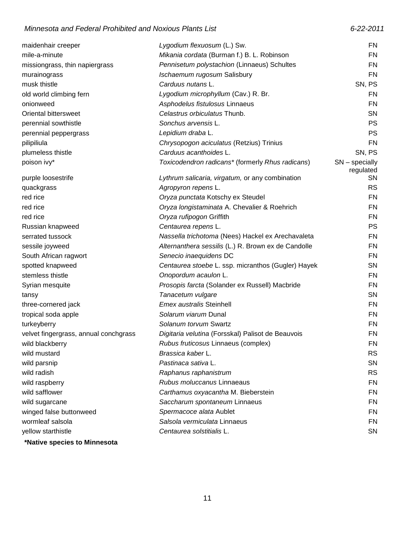### *Minnesota and Federal Prohibited and Noxious Plants List 6-22-2011*

| maidenhair creeper                    | Lygodium flexuosum (L.) Sw.                         | <b>FN</b>                     |
|---------------------------------------|-----------------------------------------------------|-------------------------------|
| mile-a-minute                         | Mikania cordata (Burman f.) B. L. Robinson          | FN                            |
| missiongrass, thin napiergrass        | Pennisetum polystachion (Linnaeus) Schultes         | <b>FN</b>                     |
| murainograss                          | Ischaemum rugosum Salisbury                         | <b>FN</b>                     |
| musk thistle                          | Carduus nutans L.                                   | SN, PS                        |
| old world climbing fern               | Lygodium microphyllum (Cav.) R. Br.                 | FN                            |
| onionweed                             | Asphodelus fistulosus Linnaeus                      | FN                            |
| Oriental bittersweet                  | Celastrus orbiculatus Thunb.                        | <b>SN</b>                     |
| perennial sowthistle                  | Sonchus arvensis L.                                 | <b>PS</b>                     |
| perennial peppergrass                 | Lepidium draba L.                                   | <b>PS</b>                     |
| pilipiliula                           | Chrysopogon aciculatus (Retzius) Trinius            | FN                            |
| plumeless thistle                     | Carduus acanthoides L.                              | SN, PS                        |
| poison ivy*                           | Toxicodendron radicans* (formerly Rhus radicans)    | $SN$ – specially<br>regulated |
| purple loosestrife                    | Lythrum salicaria, virgatum, or any combination     | <b>SN</b>                     |
| quackgrass                            | Agropyron repens L.                                 | <b>RS</b>                     |
| red rice                              | Oryza punctata Kotschy ex Steudel                   | FN                            |
| red rice                              | Oryza longistaminata A. Chevalier & Roehrich        | FN                            |
| red rice                              | Oryza rufipogon Griffith                            | FN                            |
| Russian knapweed                      | Centaurea repens L.                                 | <b>PS</b>                     |
| serrated tussock                      | Nassella trichotoma (Nees) Hackel ex Arechavaleta   | FN                            |
| sessile joyweed                       | Alternanthera sessilis (L.) R. Brown ex de Candolle | <b>FN</b>                     |
| South African ragwort                 | Senecio inaequidens DC                              | FN                            |
| spotted knapweed                      | Centaurea stoebe L. ssp. micranthos (Gugler) Hayek  | <b>SN</b>                     |
| stemless thistle                      | Onopordum acaulon L.                                | FN                            |
| Syrian mesquite                       | Prosopis farcta (Solander ex Russell) Macbride      | FN                            |
| tansy                                 | Tanacetum vulgare                                   | <b>SN</b>                     |
| three-cornered jack                   | Emex australis Steinhell                            | <b>FN</b>                     |
| tropical soda apple                   | Solarum viarum Dunal                                | FN                            |
| turkeyberry                           | Solanum torvum Swartz                               | FN                            |
| velvet fingergrass, annual conchgrass | Digitaria velutina (Forsskal) Palisot de Beauvois   | FN                            |
| wild blackberry                       | Rubus fruticosus Linnaeus (complex)                 | FN                            |
| wild mustard                          | Brassica kaber L.                                   | <b>RS</b>                     |
| wild parsnip                          | Pastinaca sativa L.                                 | <b>SN</b>                     |
| wild radish                           | Raphanus raphanistrum                               | <b>RS</b>                     |
| wild raspberry                        | Rubus moluccanus Linnaeaus                          | <b>FN</b>                     |
| wild safflower                        | Carthamus oxyacantha M. Bieberstein                 | FN                            |
| wild sugarcane                        | Saccharum spontaneum Linnaeus                       | <b>FN</b>                     |
| winged false buttonweed               | Spermacoce alata Aublet                             | FN                            |
| wormleaf salsola                      | Salsola vermiculata Linnaeus                        | <b>FN</b>                     |
| yellow starthistle                    | Centaurea solstitialis L.                           | <b>SN</b>                     |
|                                       |                                                     |                               |

**\*Native species to Minnesota**